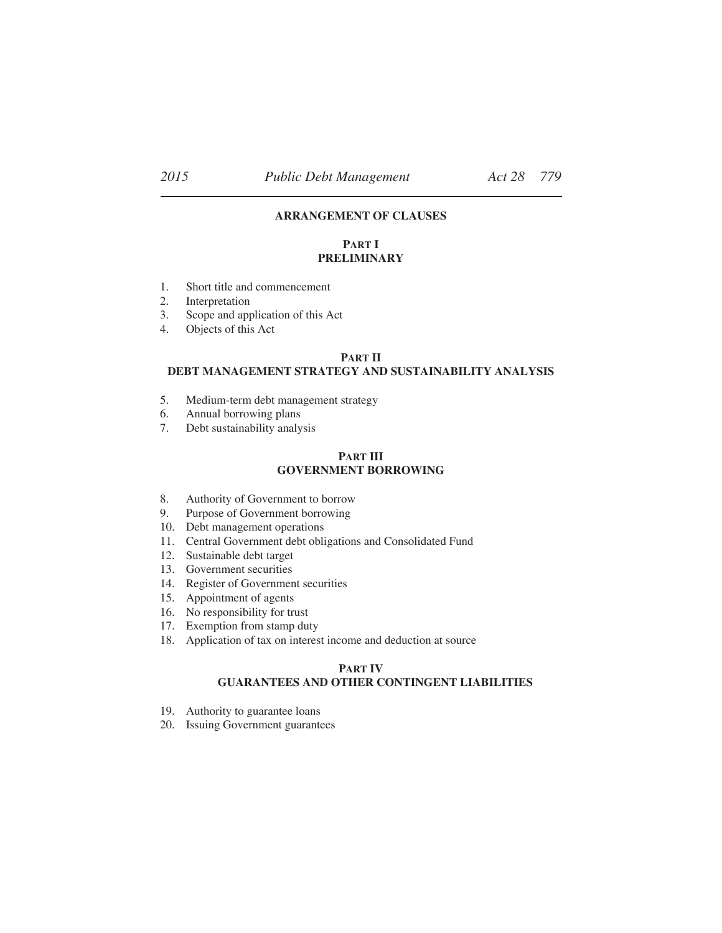# **ARRANGEMENT OF CLAUSES**

# **PART I PRELIMINARY**

- 1. Short title and commencement
- 2. Interpretation
- 3. Scope and application of this Act
- 4. Objects of this Act

#### **PART II**

### **DEBT MANAGEMENT STRATEGY AND SUSTAINABILITY ANALYSIS**

- 5. Medium-term debt management strategy
- 6. Annual borrowing plans
- 7. Debt sustainability analysis

#### **PART III GOVERNMENT BORROWING**

- 8. Authority of Government to borrow
- 9. Purpose of Government borrowing
- 10. Debt management operations
- 11. Central Government debt obligations and Consolidated Fund
- 12. Sustainable debt target
- 13. Government securities
- 14. Register of Government securities
- 15. Appointment of agents
- 16. No responsibility for trust
- 17. Exemption from stamp duty
- 18. Application of tax on interest income and deduction at source

#### **PART IV**

#### **GUARANTEES AND OTHER CONTINGENT LIABILITIES**

- 19. Authority to guarantee loans
- 20. Issuing Government guarantees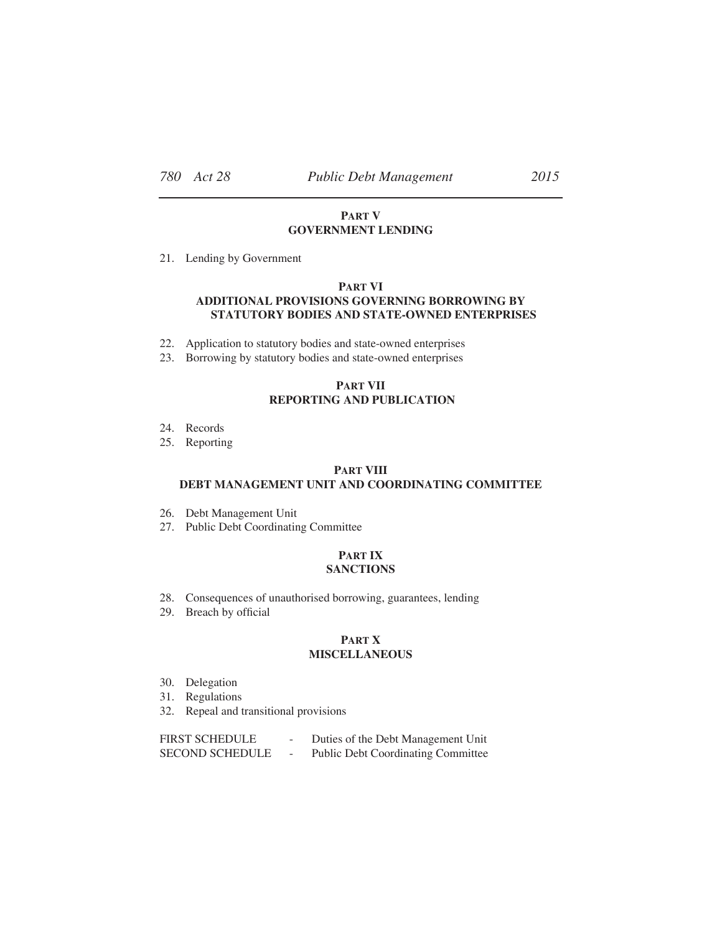## **PART V GOVERNMENT LENDING**

21. Lending by Government

# **PART VI ADDITIONAL PROVISIONS GOVERNING BORROWING BY STATUTORY BODIES AND STATE-OWNED ENTERPRISES**

- 22. Application to statutory bodies and state-owned enterprises
- 23. Borrowing by statutory bodies and state-owned enterprises

### **PART VII REPORTING AND PUBLICATION**

- 24. Records
- 25. Reporting

## **PART VIII**

## **DEBT MANAGEMENT UNIT AND COORDINATING COMMITTEE**

- 26. Debt Management Unit
- 27. Public Debt Coordinating Committee

#### **PART IX SANCTIONS**

- 28. Consequences of unauthorised borrowing, guarantees, lending
- 29. Breach by official

#### **PART X MISCELLANEOUS**

- 30. Delegation
- 31. Regulations
- 32. Repeal and transitional provisions

| <b>FIRST SCHEDULE</b>  | Duties of the Debt Management Unit        |
|------------------------|-------------------------------------------|
| <b>SECOND SCHEDULE</b> | <b>Public Debt Coordinating Committee</b> |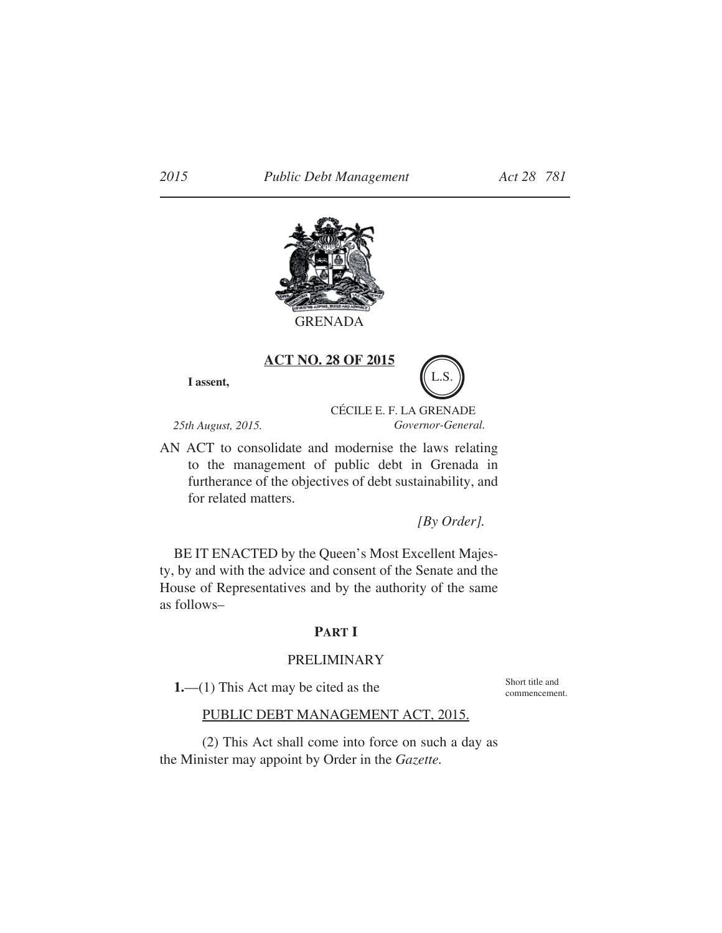

GRENADA

**I assent, ACT NO. 28 OF 2015**

*25th August, 2015.*

CÉCILE E. F. LA GRENADE *Governor-General.*

L.S.

AN ACT to consolidate and modernise the laws relating to the management of public debt in Grenada in furtherance of the objectives of debt sustainability, and for related matters.

*[By Order].*

BE IT ENACTED by the Queen's Most Excellent Majesty, by and with the advice and consent of the Senate and the House of Representatives and by the authority of the same as follows–

## **PART I**

## PRELIMINARY

**1.**—(1) This Act may be cited as the

Short title and commencement.

# PUBLIC DEBT MANAGEMENT ACT, 2015.

(2) This Act shall come into force on such a day as the Minister may appoint by Order in the *Gazette.*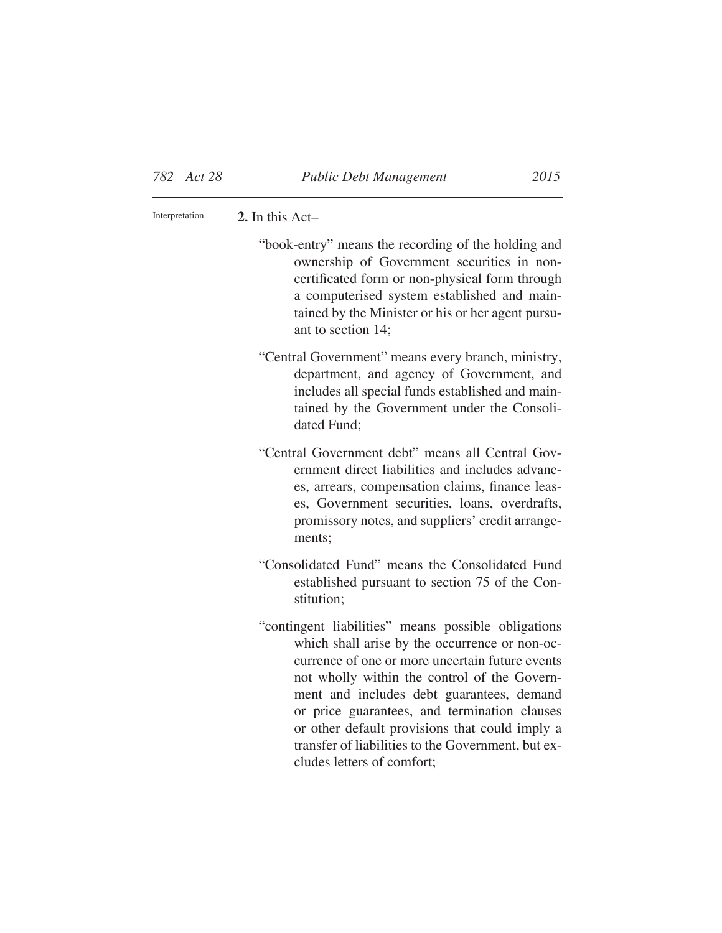**2.** In this Act– Interpretation.

> "book-entry" means the recording of the holding and ownership of Government securities in noncertificated form or non-physical form through a computerised system established and maintained by the Minister or his or her agent pursuant to section 14;

> "Central Government" means every branch, ministry, department, and agency of Government, and includes all special funds established and maintained by the Government under the Consolidated Fund;

> "Central Government debt" means all Central Government direct liabilities and includes advances, arrears, compensation claims, finance leases, Government securities, loans, overdrafts, promissory notes, and suppliers' credit arrangements;

- "Consolidated Fund" means the Consolidated Fund established pursuant to section 75 of the Constitution;
- "contingent liabilities" means possible obligations which shall arise by the occurrence or non-occurrence of one or more uncertain future events not wholly within the control of the Government and includes debt guarantees, demand or price guarantees, and termination clauses or other default provisions that could imply a transfer of liabilities to the Government, but excludes letters of comfort;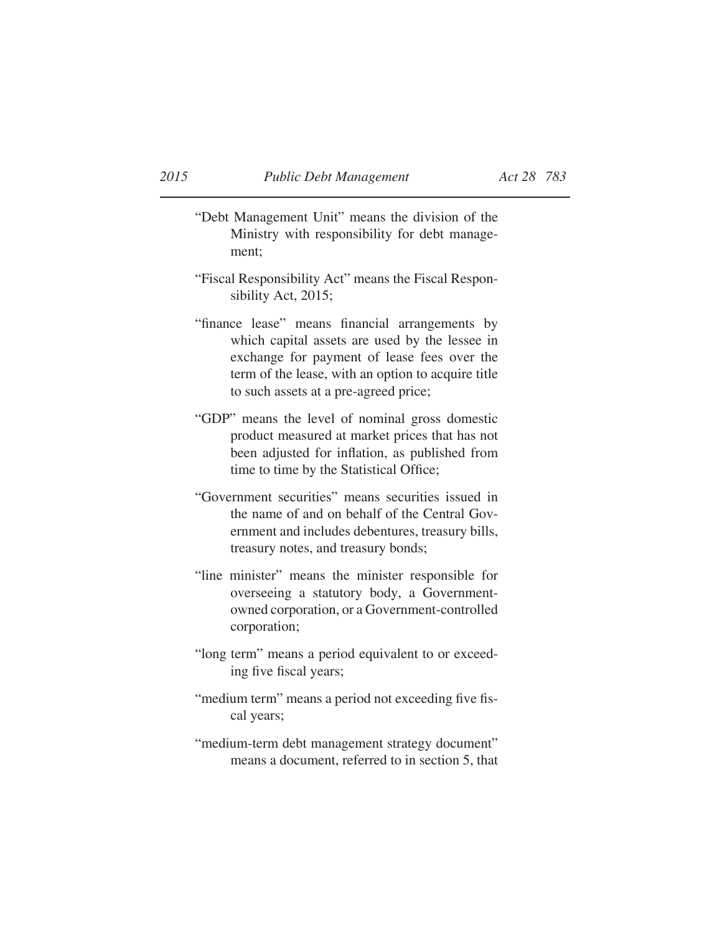- "Debt Management Unit" means the division of the Ministry with responsibility for debt management;
- "Fiscal Responsibility Act" means the Fiscal Responsibility Act, 2015;
- "finance lease" means financial arrangements by which capital assets are used by the lessee in exchange for payment of lease fees over the term of the lease, with an option to acquire title to such assets at a pre-agreed price;
- "GDP" means the level of nominal gross domestic product measured at market prices that has not been adjusted for inflation, as published from time to time by the Statistical Office;
- "Government securities" means securities issued in the name of and on behalf of the Central Government and includes debentures, treasury bills, treasury notes, and treasury bonds;
- "line minister" means the minister responsible for overseeing a statutory body, a Governmentowned corporation, or a Government-controlled corporation;
- "long term" means a period equivalent to or exceeding five fiscal years;
- "medium term" means a period not exceeding five fiscal years;
- "medium-term debt management strategy document" means a document, referred to in section 5, that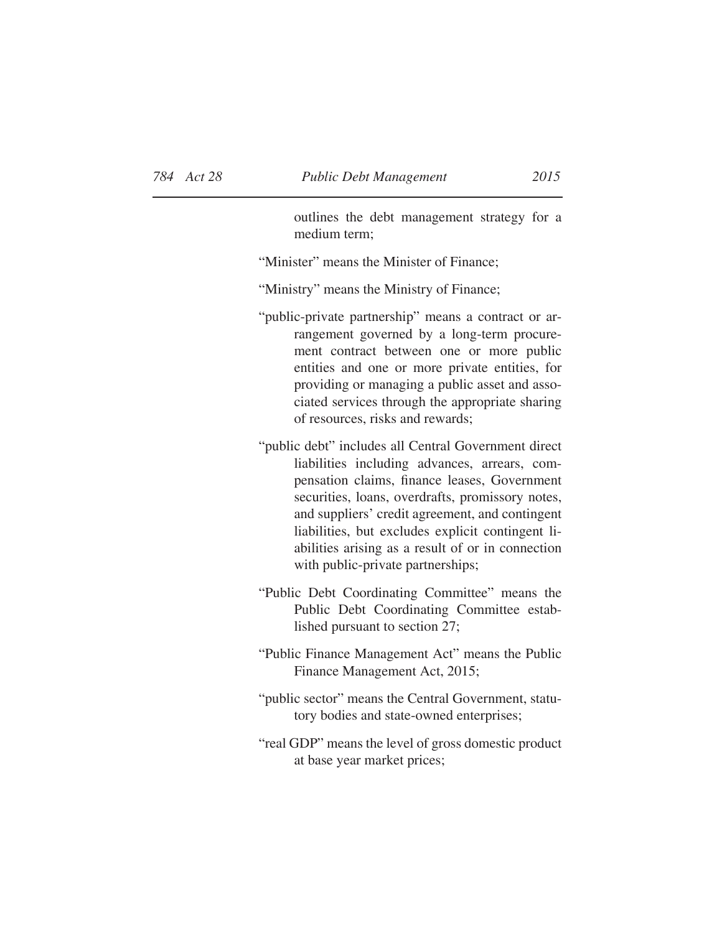outlines the debt management strategy for a medium term;

"Minister" means the Minister of Finance;

"Ministry" means the Ministry of Finance;

- "public-private partnership" means a contract or arrangement governed by a long-term procurement contract between one or more public entities and one or more private entities, for providing or managing a public asset and associated services through the appropriate sharing of resources, risks and rewards;
- "public debt" includes all Central Government direct liabilities including advances, arrears, compensation claims, finance leases, Government securities, loans, overdrafts, promissory notes, and suppliers' credit agreement, and contingent liabilities, but excludes explicit contingent liabilities arising as a result of or in connection with public-private partnerships;
- "Public Debt Coordinating Committee" means the Public Debt Coordinating Committee established pursuant to section 27;
- "Public Finance Management Act" means the Public Finance Management Act, 2015;
- "public sector" means the Central Government, statutory bodies and state-owned enterprises;
- "real GDP" means the level of gross domestic product at base year market prices;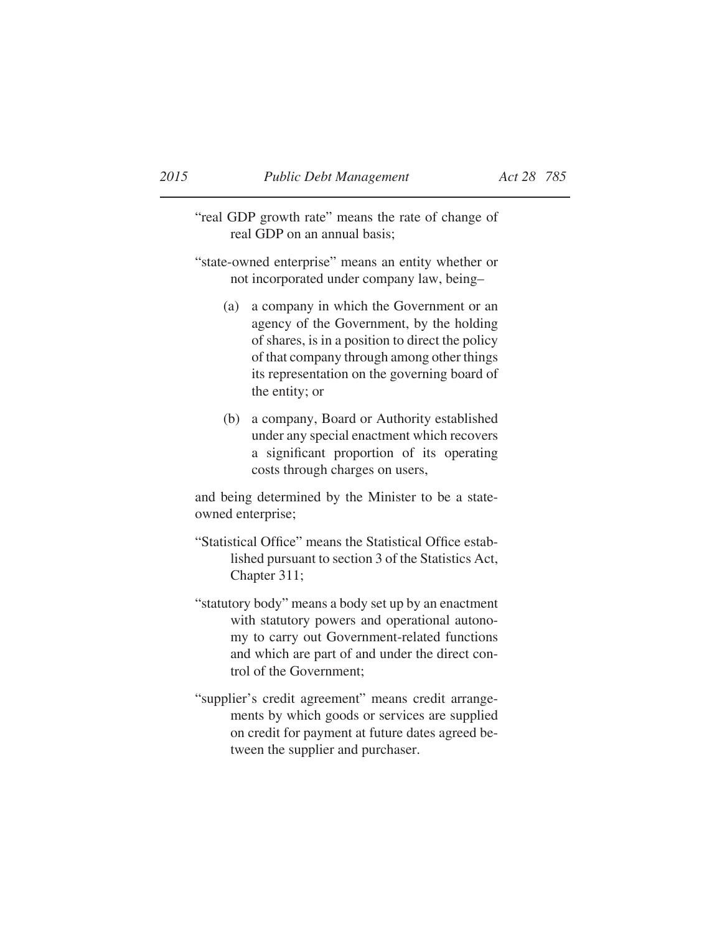"real GDP growth rate" means the rate of change of real GDP on an annual basis;

- "state-owned enterprise" means an entity whether or not incorporated under company law, being–
	- (a) a company in which the Government or an agency of the Government, by the holding of shares, is in a position to direct the policy of that company through among other things its representation on the governing board of the entity; or
	- (b) a company, Board or Authority established under any special enactment which recovers a significant proportion of its operating costs through charges on users,

and being determined by the Minister to be a stateowned enterprise;

- "Statistical Office" means the Statistical Office established pursuant to section 3 of the Statistics Act, Chapter 311;
- "statutory body" means a body set up by an enactment with statutory powers and operational autonomy to carry out Government-related functions and which are part of and under the direct control of the Government;
- "supplier's credit agreement" means credit arrangements by which goods or services are supplied on credit for payment at future dates agreed between the supplier and purchaser.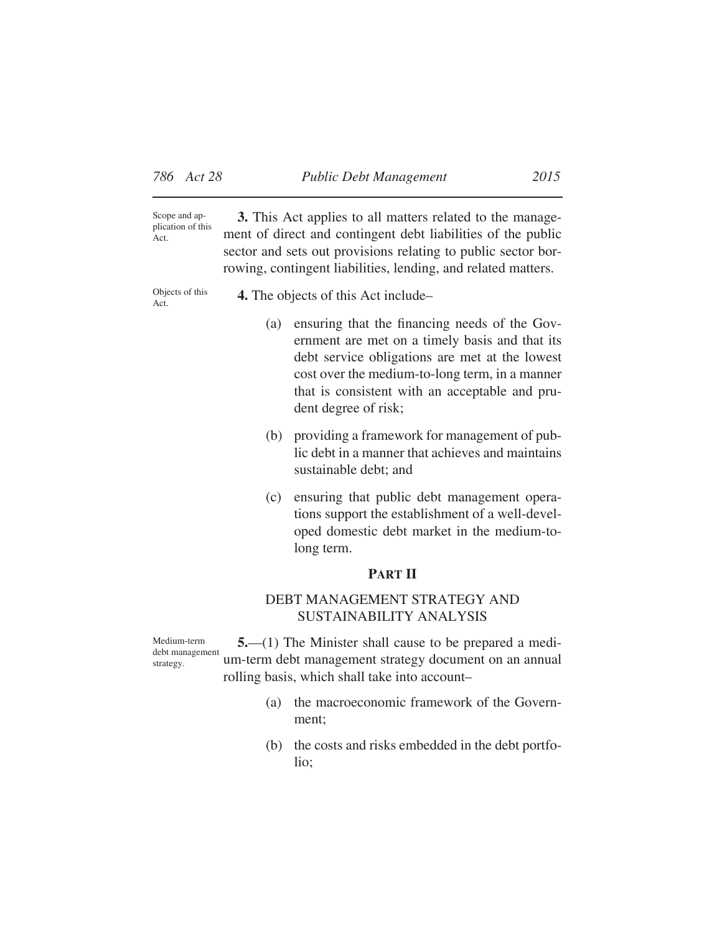**3.** This Act applies to all matters related to the management of direct and contingent debt liabilities of the public sector and sets out provisions relating to public sector borrowing, contingent liabilities, lending, and related matters. Scope and application of this Act.

Objects of this Act.

**4.** The objects of this Act include–

- (a) ensuring that the financing needs of the Government are met on a timely basis and that its debt service obligations are met at the lowest cost over the medium-to-long term, in a manner that is consistent with an acceptable and prudent degree of risk;
- (b) providing a framework for management of public debt in a manner that achieves and maintains sustainable debt; and
- (c) ensuring that public debt management operations support the establishment of a well-developed domestic debt market in the medium-tolong term.

## **PART II**

# DEBT MANAGEMENT STRATEGY AND SUSTAINABILITY ANALYSIS

Medium-term debt management strategy.

**5.**—(1) The Minister shall cause to be prepared a medium-term debt management strategy document on an annual rolling basis, which shall take into account–

- (a) the macroeconomic framework of the Government;
- (b) the costs and risks embedded in the debt portfolio;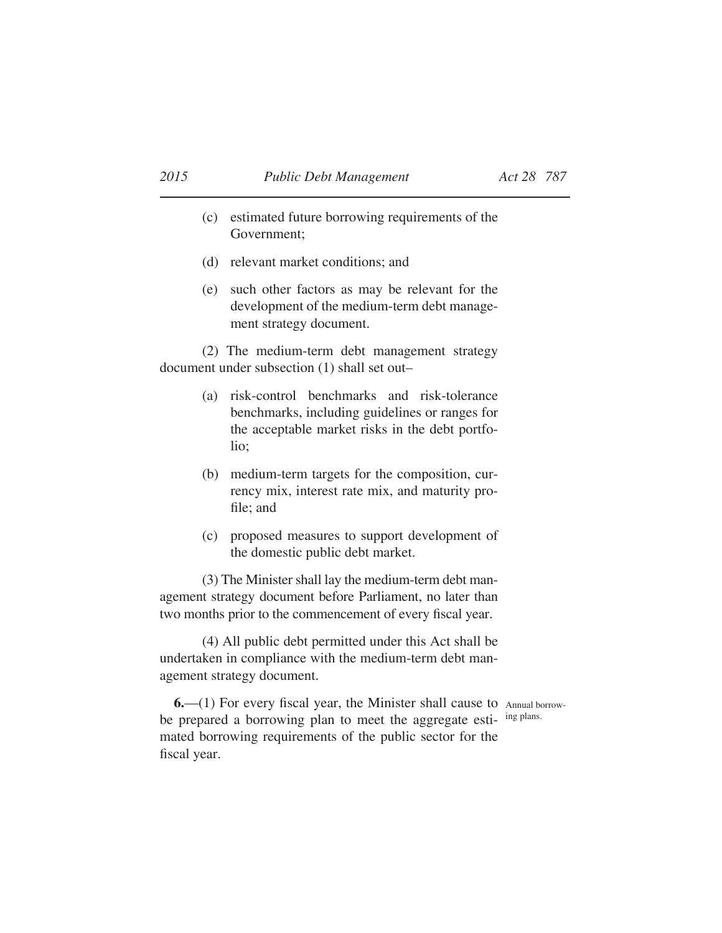- (c) estimated future borrowing requirements of the Government;
- (d) relevant market conditions; and
- (e) such other factors as may be relevant for the development of the medium-term debt management strategy document.

(2) The medium-term debt management strategy document under subsection (1) shall set out–

- (a) risk-control benchmarks and risk-tolerance benchmarks, including guidelines or ranges for the acceptable market risks in the debt portfolio;
- (b) medium-term targets for the composition, currency mix, interest rate mix, and maturity profile; and
- (c) proposed measures to support development of the domestic public debt market.

(3) The Minister shall lay the medium-term debt management strategy document before Parliament, no later than two months prior to the commencement of every fiscal year.

(4) All public debt permitted under this Act shall be undertaken in compliance with the medium-term debt management strategy document.

**6.**—(1) For every fiscal year, the Minister shall cause to Annual borrowbe prepared a borrowing plan to meet the aggregate esti- ing plans. mated borrowing requirements of the public sector for the fiscal year.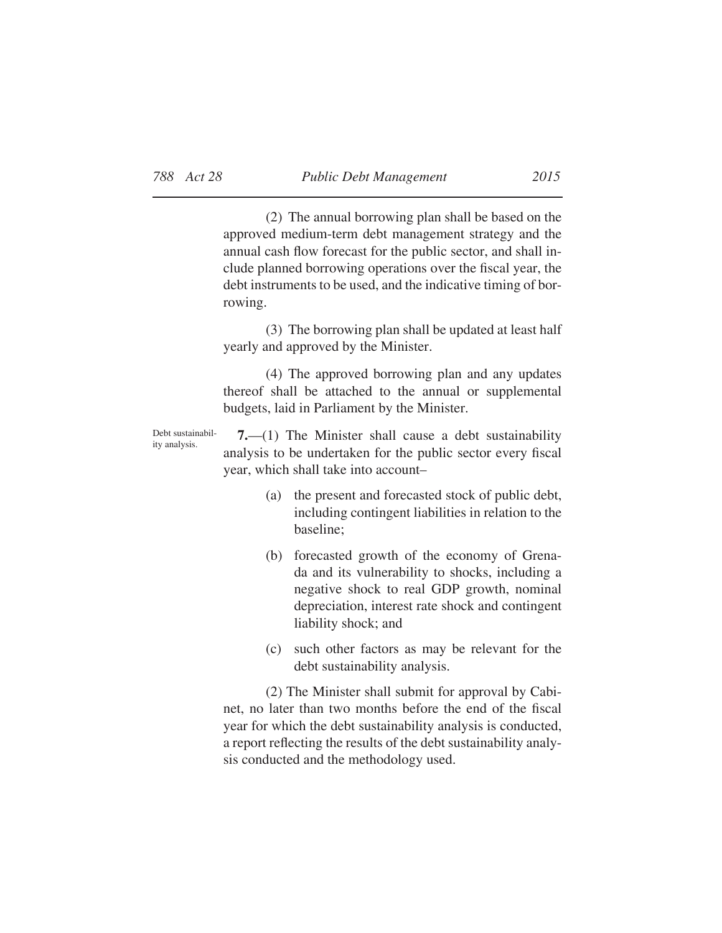(2) The annual borrowing plan shall be based on the approved medium-term debt management strategy and the annual cash flow forecast for the public sector, and shall include planned borrowing operations over the fiscal year, the debt instruments to be used, and the indicative timing of borrowing.

(3) The borrowing plan shall be updated at least half yearly and approved by the Minister.

(4) The approved borrowing plan and any updates thereof shall be attached to the annual or supplemental budgets, laid in Parliament by the Minister.

Debt sustainability analysis.

**7.**—(1) The Minister shall cause a debt sustainability analysis to be undertaken for the public sector every fiscal year, which shall take into account–

- (a) the present and forecasted stock of public debt, including contingent liabilities in relation to the baseline;
- (b) forecasted growth of the economy of Grenada and its vulnerability to shocks, including a negative shock to real GDP growth, nominal depreciation, interest rate shock and contingent liability shock; and
- (c) such other factors as may be relevant for the debt sustainability analysis.

(2) The Minister shall submit for approval by Cabinet, no later than two months before the end of the fiscal year for which the debt sustainability analysis is conducted, a report reflecting the results of the debt sustainability analysis conducted and the methodology used.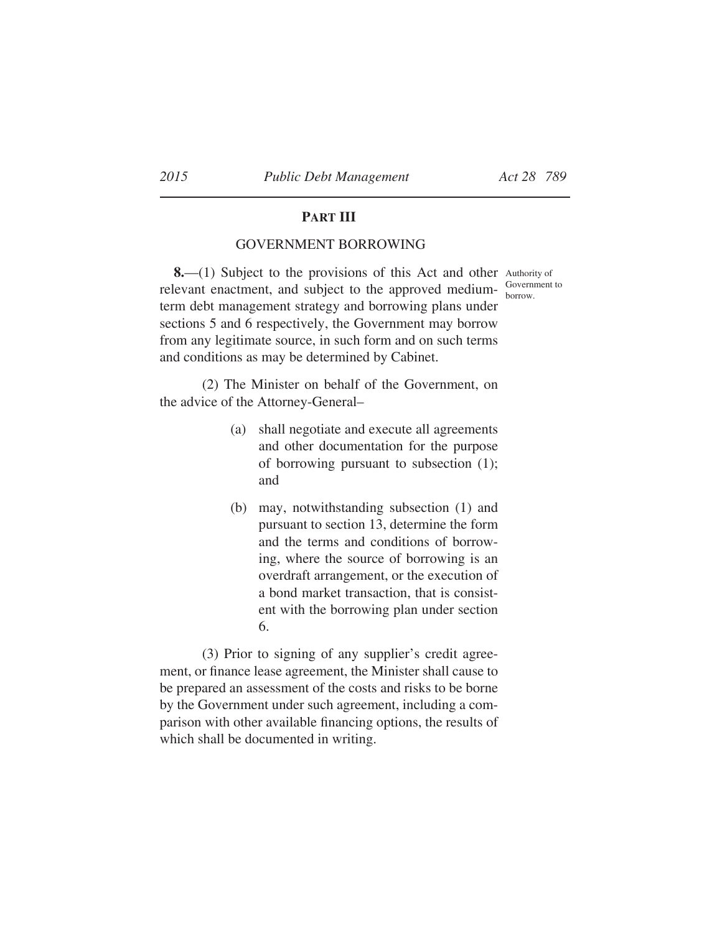# **PART III**

# GOVERNMENT BORROWING

**8.**—(1) Subject to the provisions of this Act and other Authority of relevant enactment, and subject to the approved mediumterm debt management strategy and borrowing plans under sections 5 and 6 respectively, the Government may borrow from any legitimate source, in such form and on such terms and conditions as may be determined by Cabinet.

(2) The Minister on behalf of the Government, on the advice of the Attorney-General–

- (a) shall negotiate and execute all agreements and other documentation for the purpose of borrowing pursuant to subsection (1); and
- (b) may, notwithstanding subsection (1) and pursuant to section 13, determine the form and the terms and conditions of borrowing, where the source of borrowing is an overdraft arrangement, or the execution of a bond market transaction, that is consistent with the borrowing plan under section 6.

(3) Prior to signing of any supplier's credit agreement, or finance lease agreement, the Minister shall cause to be prepared an assessment of the costs and risks to be borne by the Government under such agreement, including a comparison with other available financing options, the results of which shall be documented in writing.

borrow.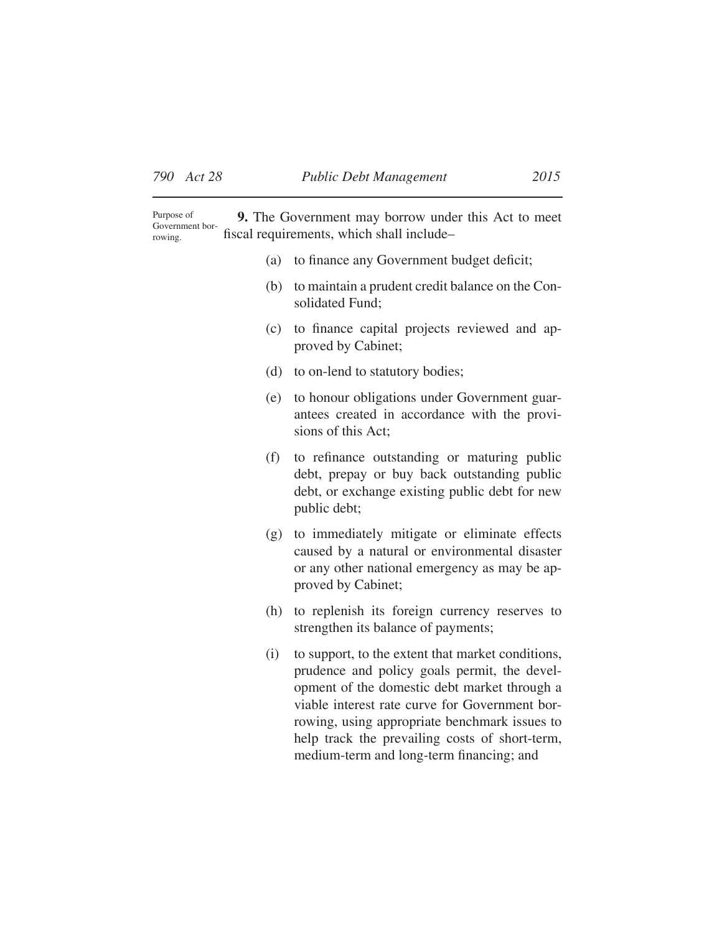**9.** The Government may borrow under this Act to meet fiscal requirements, which shall include– Purpose of Government borrowing.

- (a) to finance any Government budget deficit;
- (b) to maintain a prudent credit balance on the Consolidated Fund;
- (c) to finance capital projects reviewed and approved by Cabinet;
- (d) to on-lend to statutory bodies;
- (e) to honour obligations under Government guarantees created in accordance with the provisions of this Act;
- (f) to refinance outstanding or maturing public debt, prepay or buy back outstanding public debt, or exchange existing public debt for new public debt;
- (g) to immediately mitigate or eliminate effects caused by a natural or environmental disaster or any other national emergency as may be approved by Cabinet;
- (h) to replenish its foreign currency reserves to strengthen its balance of payments;
- (i) to support, to the extent that market conditions, prudence and policy goals permit, the development of the domestic debt market through a viable interest rate curve for Government borrowing, using appropriate benchmark issues to help track the prevailing costs of short-term, medium-term and long-term financing; and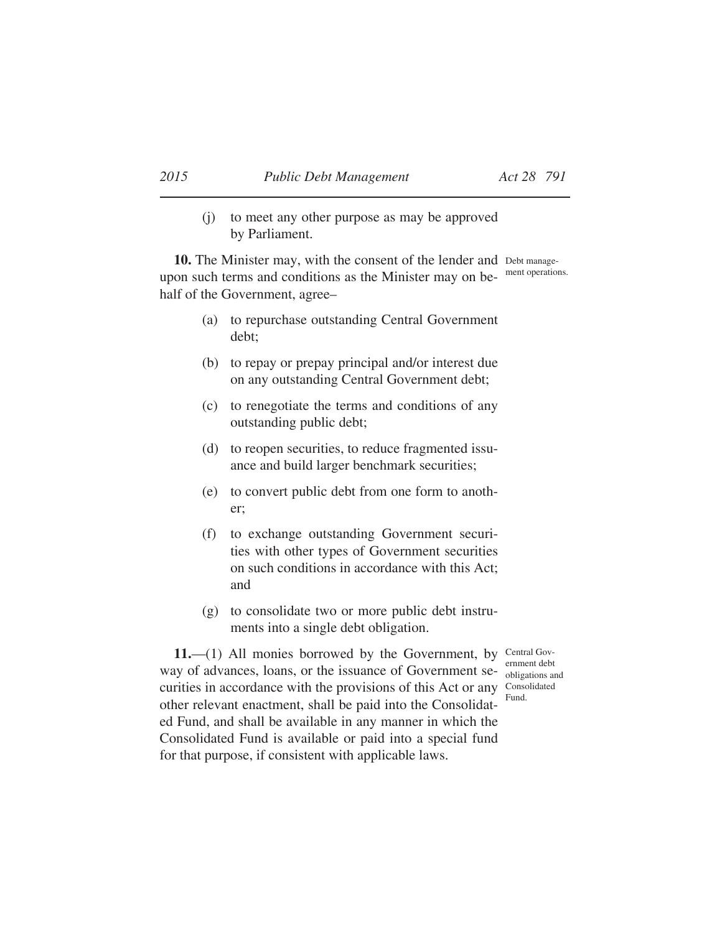(j) to meet any other purpose as may be approved by Parliament.

10. The Minister may, with the consent of the lender and Debt manageupon such terms and conditions as the Minister may on be- ment operations. half of the Government, agree–

- (a) to repurchase outstanding Central Government debt;
- (b) to repay or prepay principal and/or interest due on any outstanding Central Government debt;
- (c) to renegotiate the terms and conditions of any outstanding public debt;
- (d) to reopen securities, to reduce fragmented issuance and build larger benchmark securities;
- (e) to convert public debt from one form to another;
- (f) to exchange outstanding Government securities with other types of Government securities on such conditions in accordance with this Act; and
- (g) to consolidate two or more public debt instruments into a single debt obligation.

obligations and Fund.

11.-(1) All monies borrowed by the Government, by Central Govway of advances, loans, or the issuance of Government securities in accordance with the provisions of this Act or any Consolidated other relevant enactment, shall be paid into the Consolidated Fund, and shall be available in any manner in which the Consolidated Fund is available or paid into a special fund for that purpose, if consistent with applicable laws.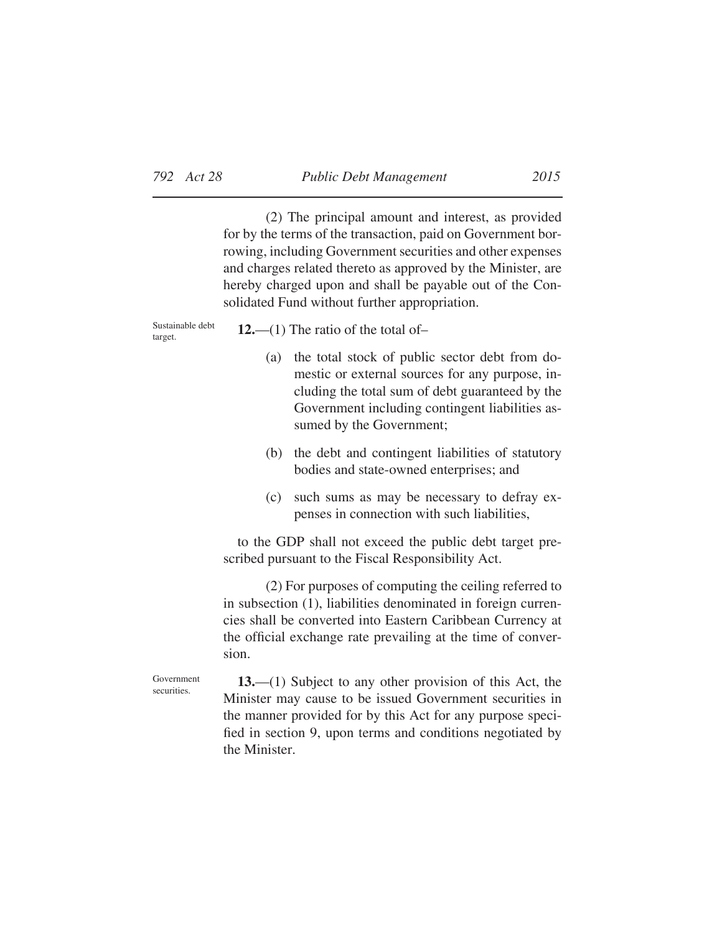(2) The principal amount and interest, as provided for by the terms of the transaction, paid on Government borrowing, including Government securities and other expenses and charges related thereto as approved by the Minister, are hereby charged upon and shall be payable out of the Consolidated Fund without further appropriation.

Sustainable debt target.

**12.**—(1) The ratio of the total of–

- (a) the total stock of public sector debt from domestic or external sources for any purpose, including the total sum of debt guaranteed by the Government including contingent liabilities assumed by the Government;
- (b) the debt and contingent liabilities of statutory bodies and state-owned enterprises; and
- (c) such sums as may be necessary to defray expenses in connection with such liabilities,

to the GDP shall not exceed the public debt target prescribed pursuant to the Fiscal Responsibility Act.

(2) For purposes of computing the ceiling referred to in subsection (1), liabilities denominated in foreign currencies shall be converted into Eastern Caribbean Currency at the official exchange rate prevailing at the time of conversion.

Government securities.

**13.**—(1) Subject to any other provision of this Act, the Minister may cause to be issued Government securities in the manner provided for by this Act for any purpose specified in section 9, upon terms and conditions negotiated by the Minister.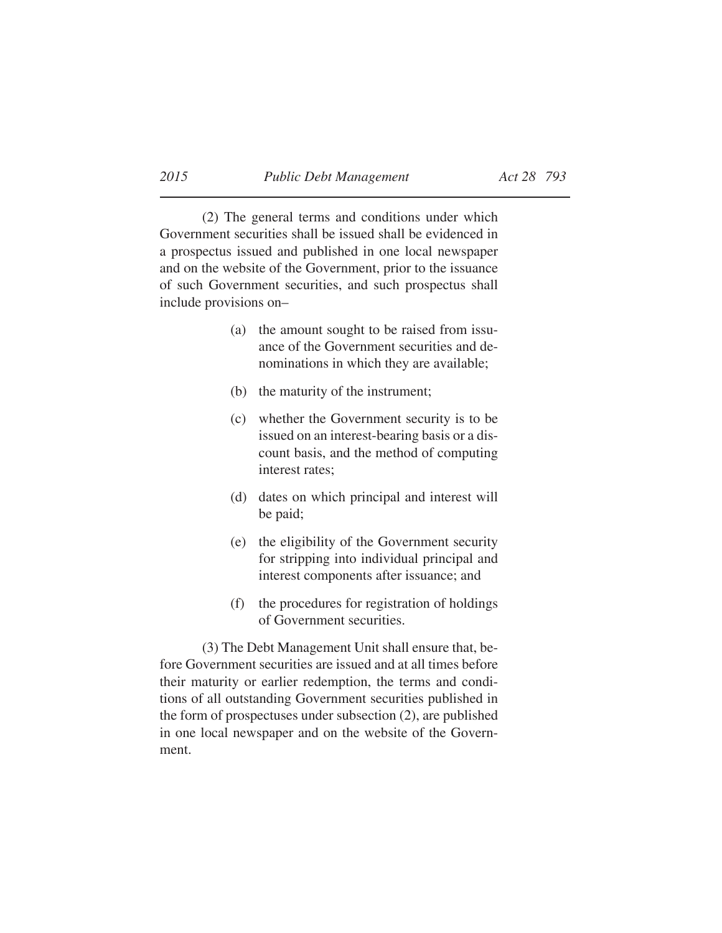(2) The general terms and conditions under which Government securities shall be issued shall be evidenced in a prospectus issued and published in one local newspaper and on the website of the Government, prior to the issuance of such Government securities, and such prospectus shall include provisions on–

- (a) the amount sought to be raised from issuance of the Government securities and denominations in which they are available;
- (b) the maturity of the instrument;
- (c) whether the Government security is to be issued on an interest-bearing basis or a discount basis, and the method of computing interest rates;
- (d) dates on which principal and interest will be paid;
- (e) the eligibility of the Government security for stripping into individual principal and interest components after issuance; and
- (f) the procedures for registration of holdings of Government securities.

(3) The Debt Management Unit shall ensure that, before Government securities are issued and at all times before their maturity or earlier redemption, the terms and conditions of all outstanding Government securities published in the form of prospectuses under subsection (2), are published in one local newspaper and on the website of the Government.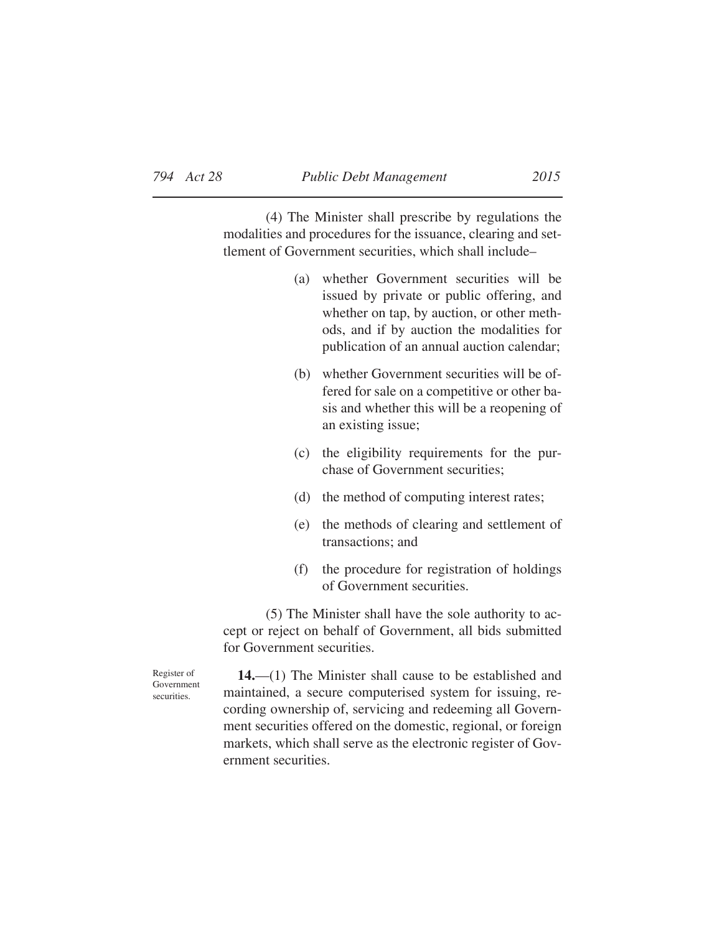(4) The Minister shall prescribe by regulations the modalities and procedures for the issuance, clearing and settlement of Government securities, which shall include–

- (a) whether Government securities will be issued by private or public offering, and whether on tap, by auction, or other methods, and if by auction the modalities for publication of an annual auction calendar;
- (b) whether Government securities will be offered for sale on a competitive or other basis and whether this will be a reopening of an existing issue;
- (c) the eligibility requirements for the purchase of Government securities;
- (d) the method of computing interest rates;
- (e) the methods of clearing and settlement of transactions; and
- (f) the procedure for registration of holdings of Government securities.

 $(5)$  The Minister shall have the sole authority to accept or reject on behalf of Government, all bids submitted for Government securities.

**14.**—(1) The Minister shall cause to be established and maintained, a secure computerised system for issuing, recording ownership of, servicing and redeeming all Government securities offered on the domestic, regional, or foreign markets, which shall serve as the electronic register of Government securities.

Register of Government securities.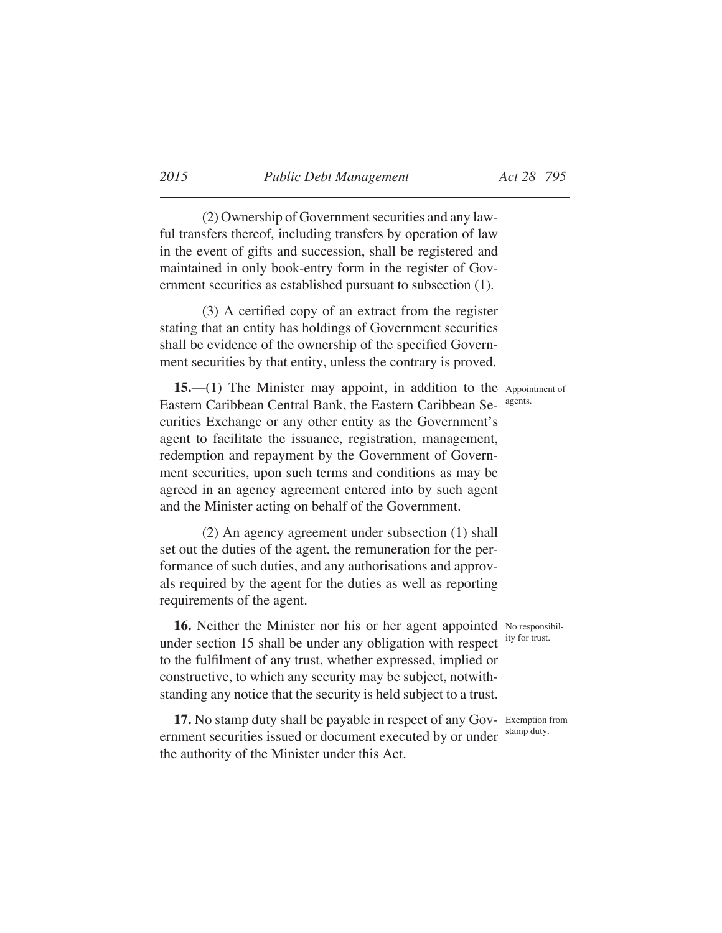(2) Ownership of Government securities and any lawful transfers thereof, including transfers by operation of law in the event of gifts and succession, shall be registered and maintained in only book-entry form in the register of Government securities as established pursuant to subsection (1).

 $(3)$  A certified copy of an extract from the register stating that an entity has holdings of Government securities shall be evidence of the ownership of the specified Government securities by that entity, unless the contrary is proved.

15.—(1) The Minister may appoint, in addition to the Appointment of Eastern Caribbean Central Bank, the Eastern Caribbean Securities Exchange or any other entity as the Government's agent to facilitate the issuance, registration, management, redemption and repayment by the Government of Government securities, upon such terms and conditions as may be agreed in an agency agreement entered into by such agent and the Minister acting on behalf of the Government.

(2) An agency agreement under subsection (1) shall set out the duties of the agent, the remuneration for the performance of such duties, and any authorisations and approvals required by the agent for the duties as well as reporting requirements of the agent.

16. Neither the Minister nor his or her agent appointed No responsibilunder section 15 shall be under any obligation with respect to the fulfilment of any trust, whether expressed, implied or constructive, to which any security may be subject, notwithstanding any notice that the security is held subject to a trust.

17. No stamp duty shall be payable in respect of any Gov- Exemption from ernment securities issued or document executed by or under the authority of the Minister under this Act.

agents.

ity for trust.

stamp duty.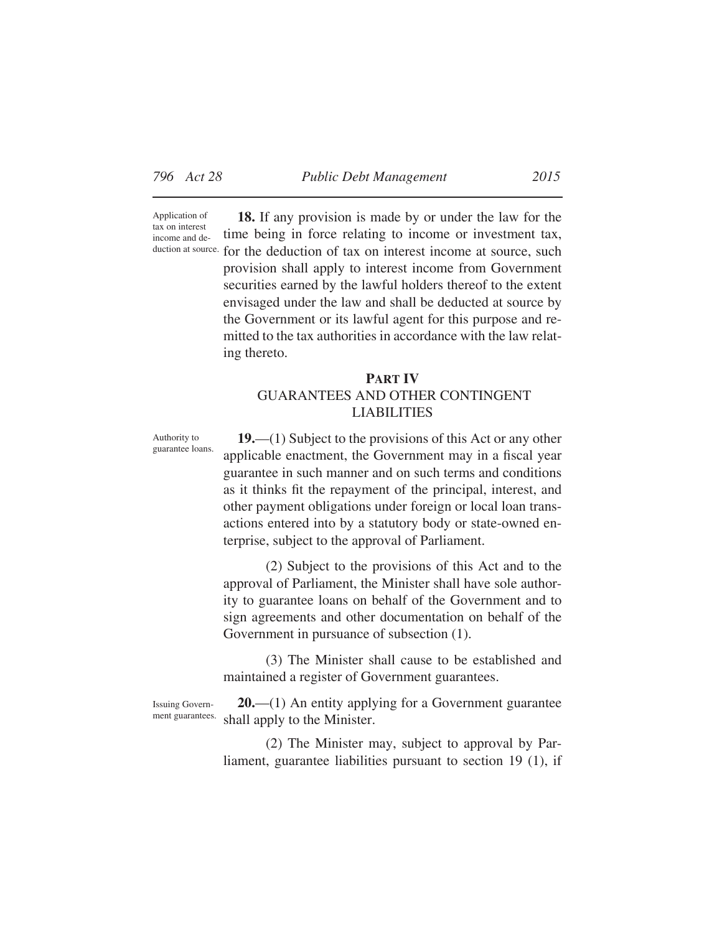Application of tax on interest income and de-

**18.** If any provision is made by or under the law for the time being in force relating to income or investment tax, duction at source. for the deduction of tax on interest income at source, such provision shall apply to interest income from Government securities earned by the lawful holders thereof to the extent envisaged under the law and shall be deducted at source by the Government or its lawful agent for this purpose and remitted to the tax authorities in accordance with the law relating thereto.

# **PART IV** GUARANTEES AND OTHER CONTINGENT LIABILITIES

Authority to guarantee loans.

**19.**—(1) Subject to the provisions of this Act or any other applicable enactment, the Government may in a fiscal year guarantee in such manner and on such terms and conditions as it thinks fit the repayment of the principal, interest, and other payment obligations under foreign or local loan transactions entered into by a statutory body or state-owned enterprise, subject to the approval of Parliament.

(2) Subject to the provisions of this Act and to the approval of Parliament, the Minister shall have sole authority to guarantee loans on behalf of the Government and to sign agreements and other documentation on behalf of the Government in pursuance of subsection (1).

(3) The Minister shall cause to be established and maintained a register of Government guarantees.

Issuing Government guarantees.

**20.**—(1) An entity applying for a Government guarantee shall apply to the Minister.

(2) The Minister may, subject to approval by Parliament, guarantee liabilities pursuant to section 19 (1), if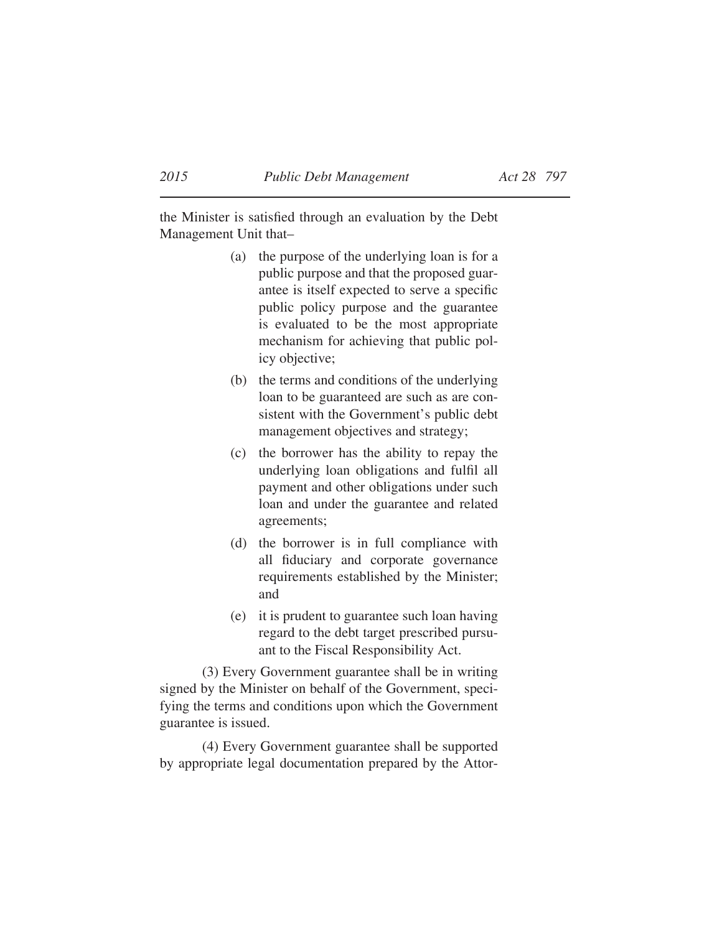the Minister is satisfied through an evaluation by the Debt Management Unit that–

- (a) the purpose of the underlying loan is for a public purpose and that the proposed guarantee is itself expected to serve a specific public policy purpose and the guarantee is evaluated to be the most appropriate mechanism for achieving that public policy objective;
- (b) the terms and conditions of the underlying loan to be guaranteed are such as are consistent with the Government's public debt management objectives and strategy;
- (c) the borrower has the ability to repay the underlying loan obligations and fulfil all payment and other obligations under such loan and under the guarantee and related agreements;
- (d) the borrower is in full compliance with all fiduciary and corporate governance requirements established by the Minister; and
- (e) it is prudent to guarantee such loan having regard to the debt target prescribed pursuant to the Fiscal Responsibility Act.

(3) Every Government guarantee shall be in writing signed by the Minister on behalf of the Government, specifying the terms and conditions upon which the Government guarantee is issued.

(4) Every Government guarantee shall be supported by appropriate legal documentation prepared by the Attor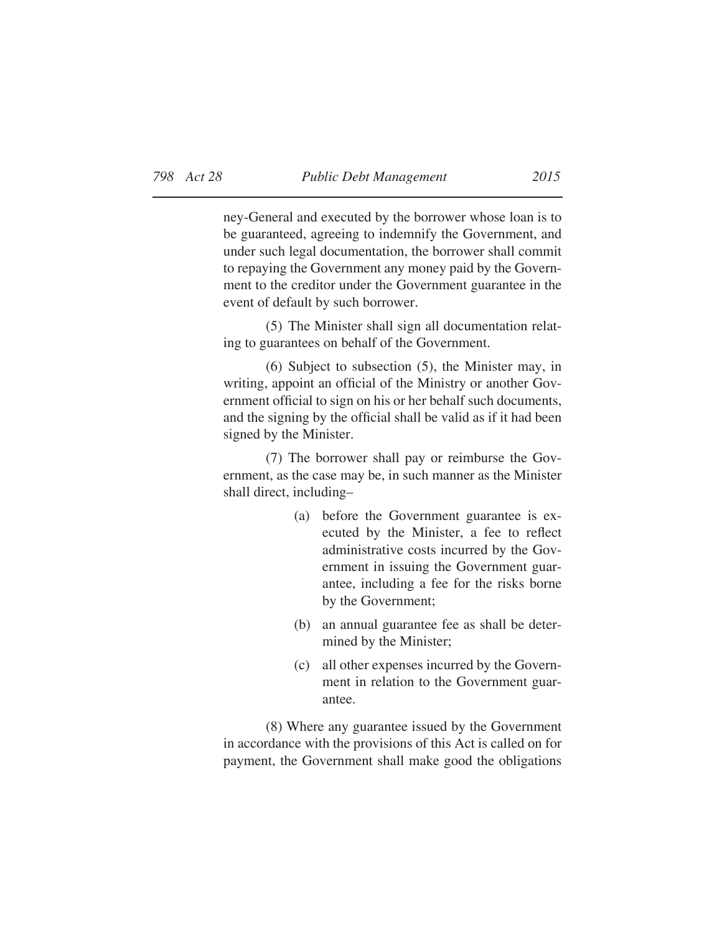ney-General and executed by the borrower whose loan is to be guaranteed, agreeing to indemnify the Government, and under such legal documentation, the borrower shall commit to repaying the Government any money paid by the Government to the creditor under the Government guarantee in the event of default by such borrower.

(5) The Minister shall sign all documentation relating to guarantees on behalf of the Government.

(6) Subject to subsection (5), the Minister may, in writing, appoint an official of the Ministry or another Government official to sign on his or her behalf such documents, and the signing by the official shall be valid as if it had been signed by the Minister.

(7) The borrower shall pay or reimburse the Government, as the case may be, in such manner as the Minister shall direct, including–

- (a) before the Government guarantee is executed by the Minister, a fee to reflect administrative costs incurred by the Government in issuing the Government guarantee, including a fee for the risks borne by the Government;
- (b) an annual guarantee fee as shall be determined by the Minister;
- (c) all other expenses incurred by the Government in relation to the Government guarantee.

(8) Where any guarantee issued by the Government in accordance with the provisions of this Act is called on for payment, the Government shall make good the obligations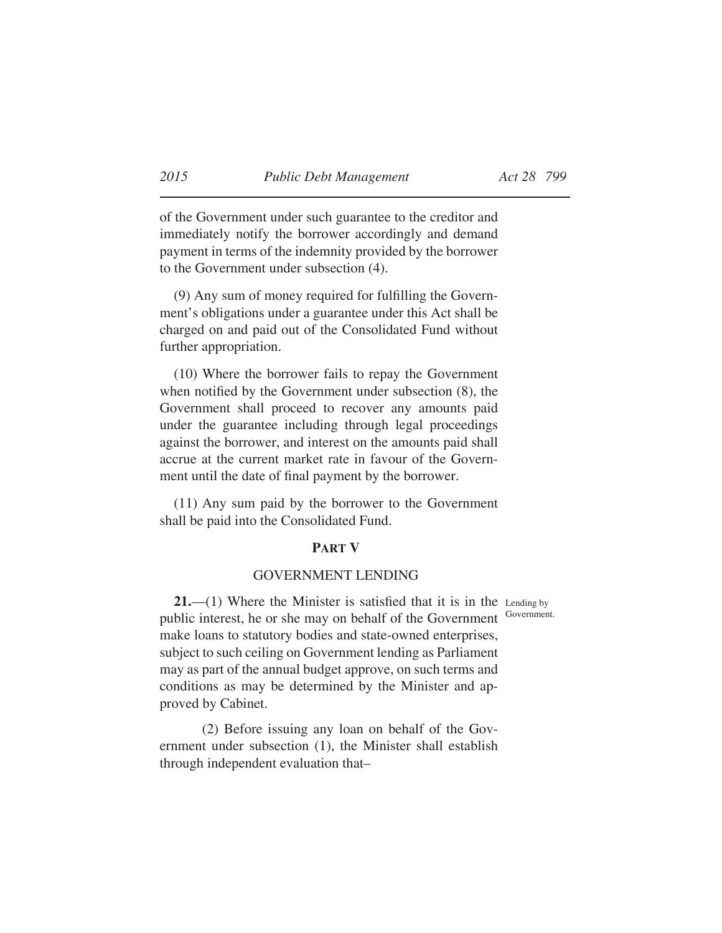of the Government under such guarantee to the creditor and immediately notify the borrower accordingly and demand payment in terms of the indemnity provided by the borrower to the Government under subsection (4).

 $(9)$  Any sum of money required for fulfilling the Government's obligations under a guarantee under this Act shall be charged on and paid out of the Consolidated Fund without further appropriation.

(10) Where the borrower fails to repay the Government when notified by the Government under subsection  $(8)$ , the Government shall proceed to recover any amounts paid under the guarantee including through legal proceedings against the borrower, and interest on the amounts paid shall accrue at the current market rate in favour of the Government until the date of final payment by the borrower.

(11) Any sum paid by the borrower to the Government shall be paid into the Consolidated Fund.

#### **PART V**

# GOVERNMENT LENDING

**21.**—(1) Where the Minister is satisfied that it is in the Lending by public interest, he or she may on behalf of the Government make loans to statutory bodies and state-owned enterprises, subject to such ceiling on Government lending as Parliament may as part of the annual budget approve, on such terms and conditions as may be determined by the Minister and approved by Cabinet.

(2) Before issuing any loan on behalf of the Government under subsection (1), the Minister shall establish through independent evaluation that–

Government.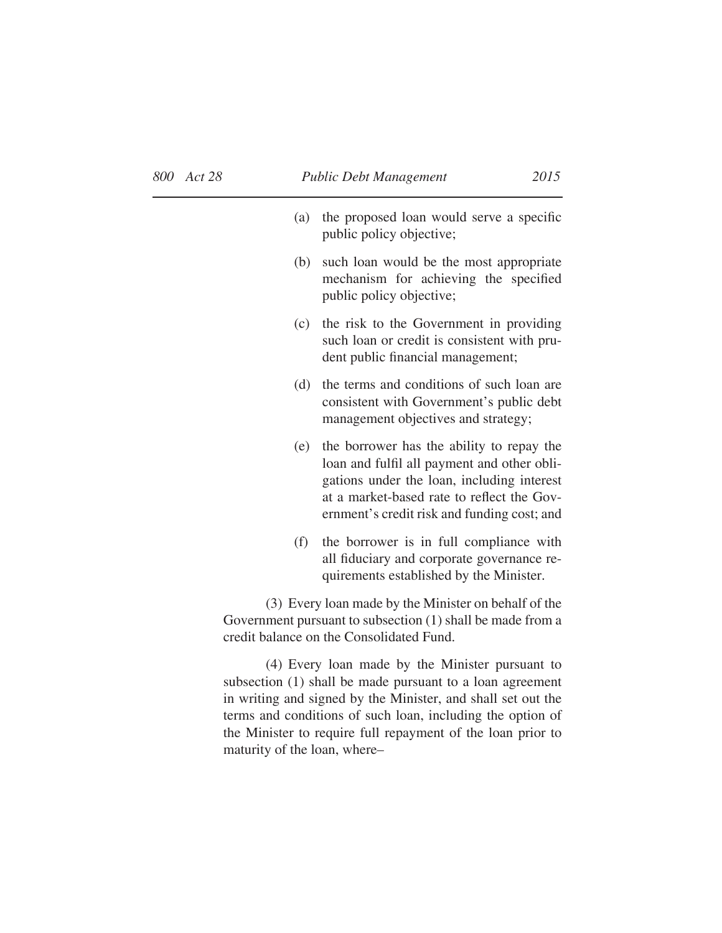| (a)                                                                                                                                                            | the proposed loan would serve a specific<br>public policy objective;                                                                                                                                                                |  |
|----------------------------------------------------------------------------------------------------------------------------------------------------------------|-------------------------------------------------------------------------------------------------------------------------------------------------------------------------------------------------------------------------------------|--|
| (b)                                                                                                                                                            | such loan would be the most appropriate<br>mechanism for achieving the specified<br>public policy objective;                                                                                                                        |  |
| (c)                                                                                                                                                            | the risk to the Government in providing<br>such loan or credit is consistent with pru-<br>dent public financial management;                                                                                                         |  |
| (d)                                                                                                                                                            | the terms and conditions of such loan are<br>consistent with Government's public debt<br>management objectives and strategy;                                                                                                        |  |
| (e)                                                                                                                                                            | the borrower has the ability to repay the<br>loan and fulfil all payment and other obli-<br>gations under the loan, including interest<br>at a market-based rate to reflect the Gov-<br>ernment's credit risk and funding cost; and |  |
| (f)                                                                                                                                                            | the borrower is in full compliance with<br>all fiduciary and corporate governance re-<br>quirements established by the Minister.                                                                                                    |  |
| (3) Every loan made by the Minister on behalf of the<br>Government pursuant to subsection (1) shall be made from a<br>credit balance on the Consolidated Fund. |                                                                                                                                                                                                                                     |  |

(4) Every loan made by the Minister pursuant to subsection (1) shall be made pursuant to a loan agreement in writing and signed by the Minister, and shall set out the terms and conditions of such loan, including the option of the Minister to require full repayment of the loan prior to maturity of the loan, where–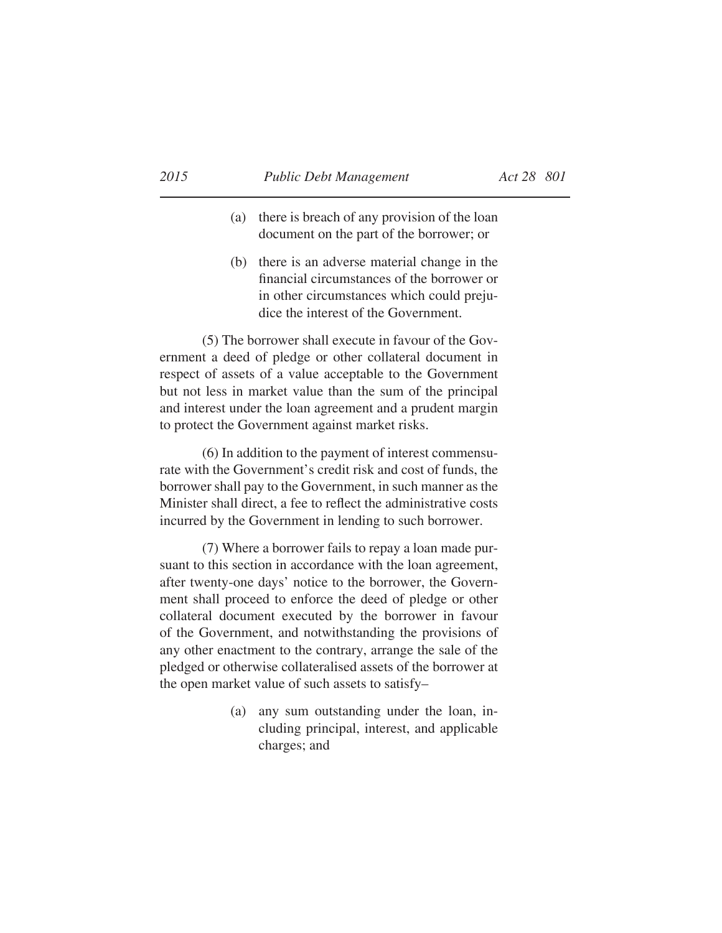- (a) there is breach of any provision of the loan document on the part of the borrower; or
- (b) there is an adverse material change in the financial circumstances of the borrower or in other circumstances which could prejudice the interest of the Government.

(5) The borrower shall execute in favour of the Government a deed of pledge or other collateral document in respect of assets of a value acceptable to the Government but not less in market value than the sum of the principal and interest under the loan agreement and a prudent margin to protect the Government against market risks.

(6) In addition to the payment of interest commensurate with the Government's credit risk and cost of funds, the borrower shall pay to the Government, in such manner as the Minister shall direct, a fee to reflect the administrative costs incurred by the Government in lending to such borrower.

(7) Where a borrower fails to repay a loan made pursuant to this section in accordance with the loan agreement, after twenty-one days' notice to the borrower, the Government shall proceed to enforce the deed of pledge or other collateral document executed by the borrower in favour of the Government, and notwithstanding the provisions of any other enactment to the contrary, arrange the sale of the pledged or otherwise collateralised assets of the borrower at the open market value of such assets to satisfy–

> (a) any sum outstanding under the loan, including principal, interest, and applicable charges; and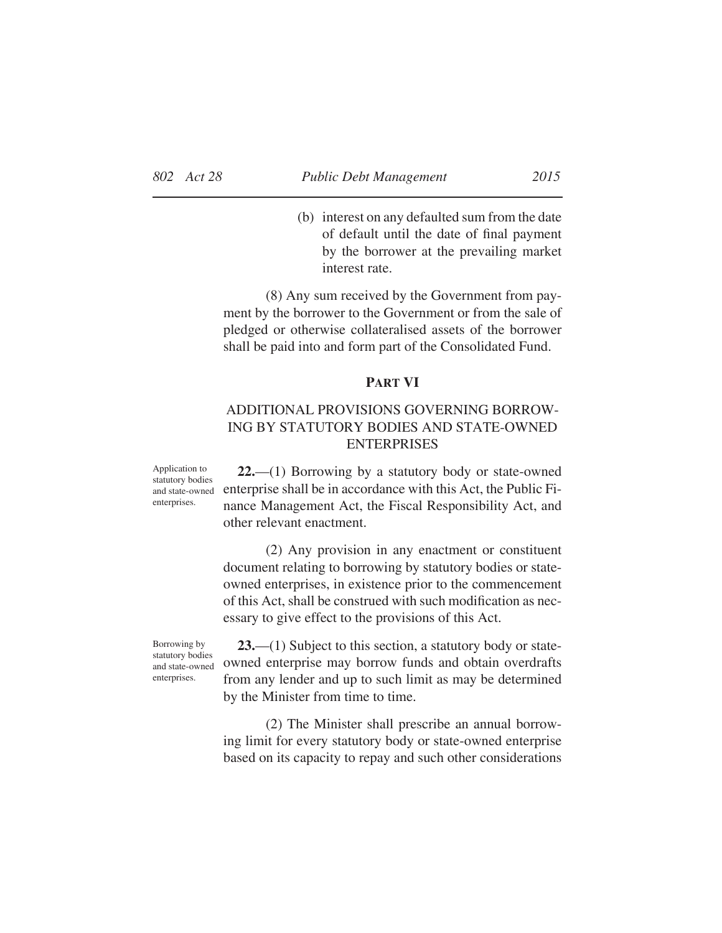(b) interest on any defaulted sum from the date of default until the date of final payment by the borrower at the prevailing market interest rate.

(8) Any sum received by the Government from payment by the borrower to the Government or from the sale of pledged or otherwise collateralised assets of the borrower shall be paid into and form part of the Consolidated Fund.

# **PART VI**

# ADDITIONAL PROVISIONS GOVERNING BORROW-ING BY STATUTORY BODIES AND STATE-OWNED ENTERPRISES

Application to statutory bodies enterprises.

**22.**—(1) Borrowing by a statutory body or state-owned and state-owned enterprise shall be in accordance with this Act, the Public Finance Management Act, the Fiscal Responsibility Act, and other relevant enactment.

> (2) Any provision in any enactment or constituent document relating to borrowing by statutory bodies or stateowned enterprises, in existence prior to the commencement of this Act, shall be construed with such modification as necessary to give effect to the provisions of this Act.

Borrowing by statutory bodies and state-owned enterprises.

**23.**—(1) Subject to this section, a statutory body or stateowned enterprise may borrow funds and obtain overdrafts from any lender and up to such limit as may be determined by the Minister from time to time.

(2) The Minister shall prescribe an annual borrowing limit for every statutory body or state-owned enterprise based on its capacity to repay and such other considerations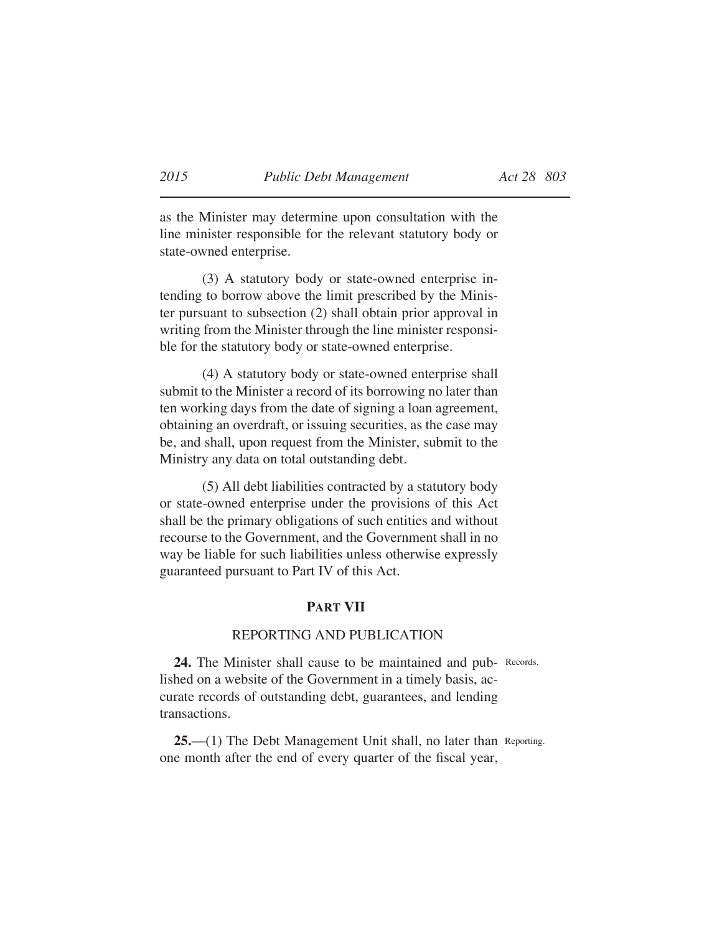as the Minister may determine upon consultation with the line minister responsible for the relevant statutory body or state-owned enterprise.

(3) A statutory body or state-owned enterprise intending to borrow above the limit prescribed by the Minister pursuant to subsection (2) shall obtain prior approval in writing from the Minister through the line minister responsible for the statutory body or state-owned enterprise.

(4) A statutory body or state-owned enterprise shall submit to the Minister a record of its borrowing no later than ten working days from the date of signing a loan agreement, obtaining an overdraft, or issuing securities, as the case may be, and shall, upon request from the Minister, submit to the Ministry any data on total outstanding debt.

(5) All debt liabilities contracted by a statutory body or state-owned enterprise under the provisions of this Act shall be the primary obligations of such entities and without recourse to the Government, and the Government shall in no way be liable for such liabilities unless otherwise expressly guaranteed pursuant to Part IV of this Act.

# **PART VII**

## REPORTING AND PUBLICATION

24. The Minister shall cause to be maintained and pub- Records. lished on a website of the Government in a timely basis, accurate records of outstanding debt, guarantees, and lending transactions.

25.—(1) The Debt Management Unit shall, no later than Reporting. one month after the end of every quarter of the fiscal year,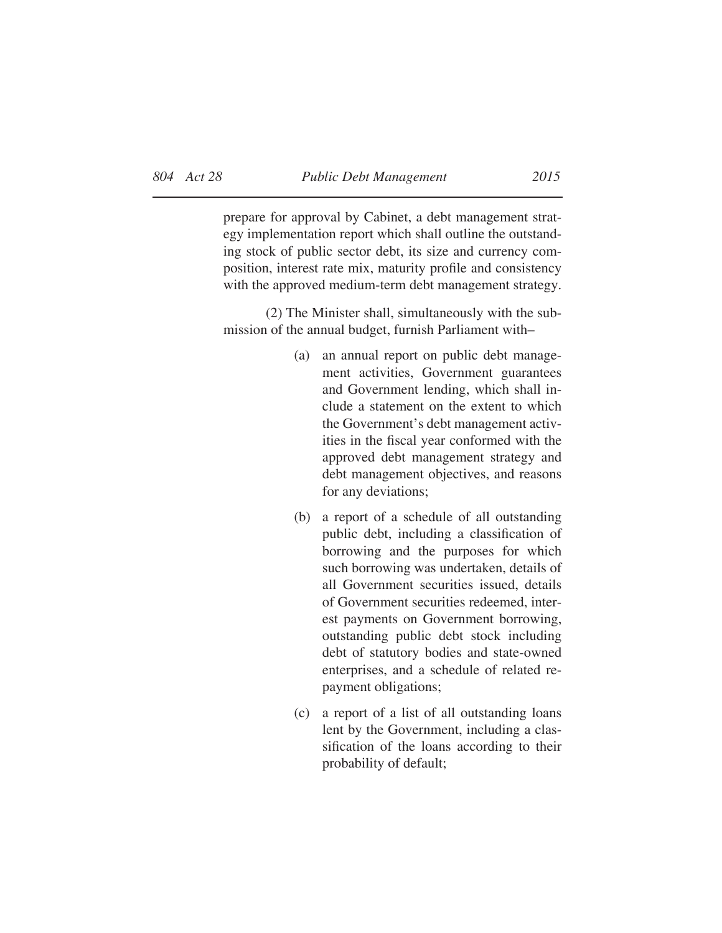prepare for approval by Cabinet, a debt management strategy implementation report which shall outline the outstanding stock of public sector debt, its size and currency composition, interest rate mix, maturity profile and consistency with the approved medium-term debt management strategy.

(2) The Minister shall, simultaneously with the submission of the annual budget, furnish Parliament with–

- (a) an annual report on public debt management activities, Government guarantees and Government lending, which shall include a statement on the extent to which the Government's debt management activities in the fiscal year conformed with the approved debt management strategy and debt management objectives, and reasons for any deviations;
- (b) a report of a schedule of all outstanding public debt, including a classification of borrowing and the purposes for which such borrowing was undertaken, details of all Government securities issued, details of Government securities redeemed, interest payments on Government borrowing, outstanding public debt stock including debt of statutory bodies and state-owned enterprises, and a schedule of related repayment obligations;
- (c) a report of a list of all outstanding loans lent by the Government, including a classification of the loans according to their probability of default;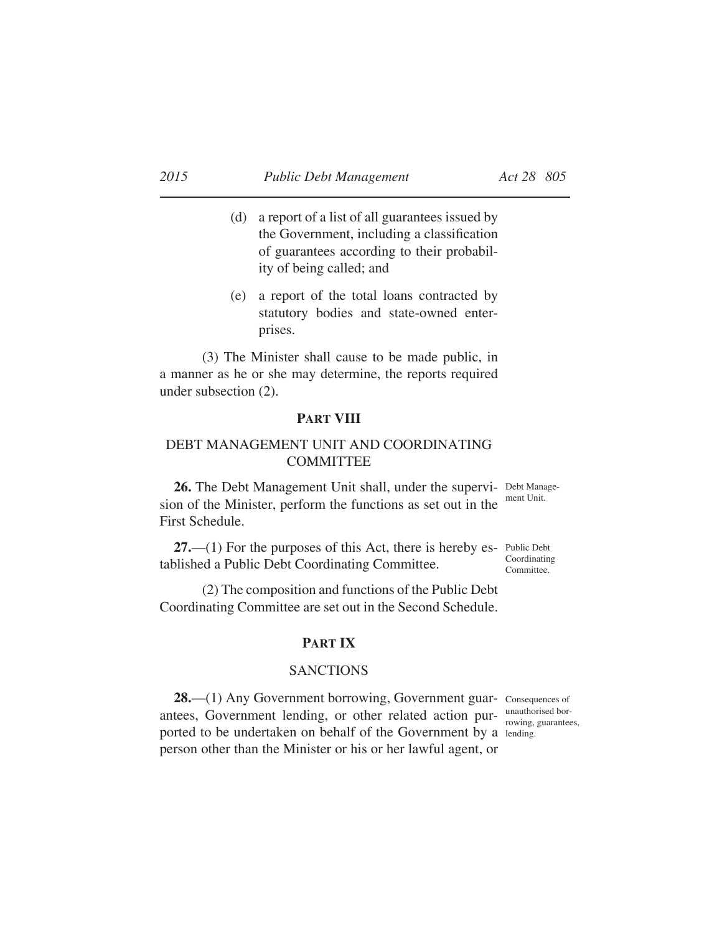- (d) a report of a list of all guarantees issued by the Government, including a classification of guarantees according to their probability of being called; and
- (e) a report of the total loans contracted by statutory bodies and state-owned enterprises.

(3) The Minister shall cause to be made public, in a manner as he or she may determine, the reports required under subsection (2).

## **PART VIII**

# DEBT MANAGEMENT UNIT AND COORDINATING COMMITTEE

26. The Debt Management Unit shall, under the supervi- Debt Managesion of the Minister, perform the functions as set out in the First Schedule.

ment Unit.

27.—(1) For the purposes of this Act, there is hereby es- Public Debt tablished a Public Debt Coordinating Committee. Coordinating Committee.

(2) The composition and functions of the Public Debt Coordinating Committee are set out in the Second Schedule.

# **PART IX**

# **SANCTIONS**

28.—(1) Any Government borrowing, Government guar- consequences of antees, Government lending, or other related action purported to be undertaken on behalf of the Government by a lending. person other than the Minister or his or her lawful agent, or rowing, guarantees,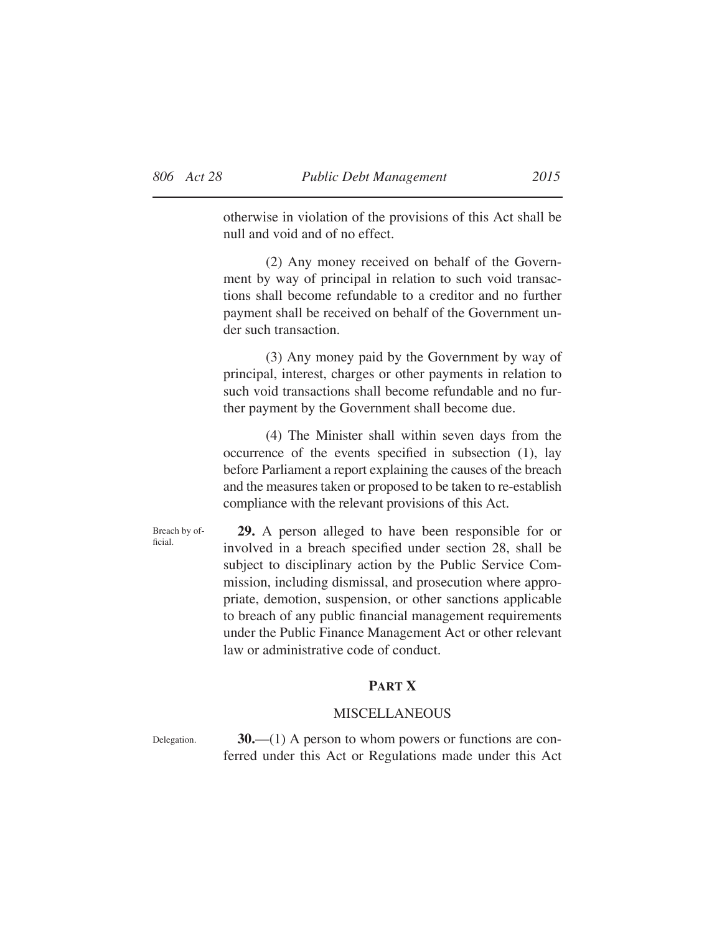otherwise in violation of the provisions of this Act shall be null and void and of no effect.

(2) Any money received on behalf of the Government by way of principal in relation to such void transactions shall become refundable to a creditor and no further payment shall be received on behalf of the Government under such transaction.

(3) Any money paid by the Government by way of principal, interest, charges or other payments in relation to such void transactions shall become refundable and no further payment by the Government shall become due.

(4) The Minister shall within seven days from the occurrence of the events specified in subsection  $(1)$ , lay before Parliament a report explaining the causes of the breach and the measures taken or proposed to be taken to re-establish compliance with the relevant provisions of this Act.

Breach by official.

**29.** A person alleged to have been responsible for or involved in a breach specified under section 28, shall be subject to disciplinary action by the Public Service Commission, including dismissal, and prosecution where appropriate, demotion, suspension, or other sanctions applicable to breach of any public financial management requirements under the Public Finance Management Act or other relevant law or administrative code of conduct.

# **PART X**

### MISCELLANEOUS

Delegation.

**30.**—(1) A person to whom powers or functions are conferred under this Act or Regulations made under this Act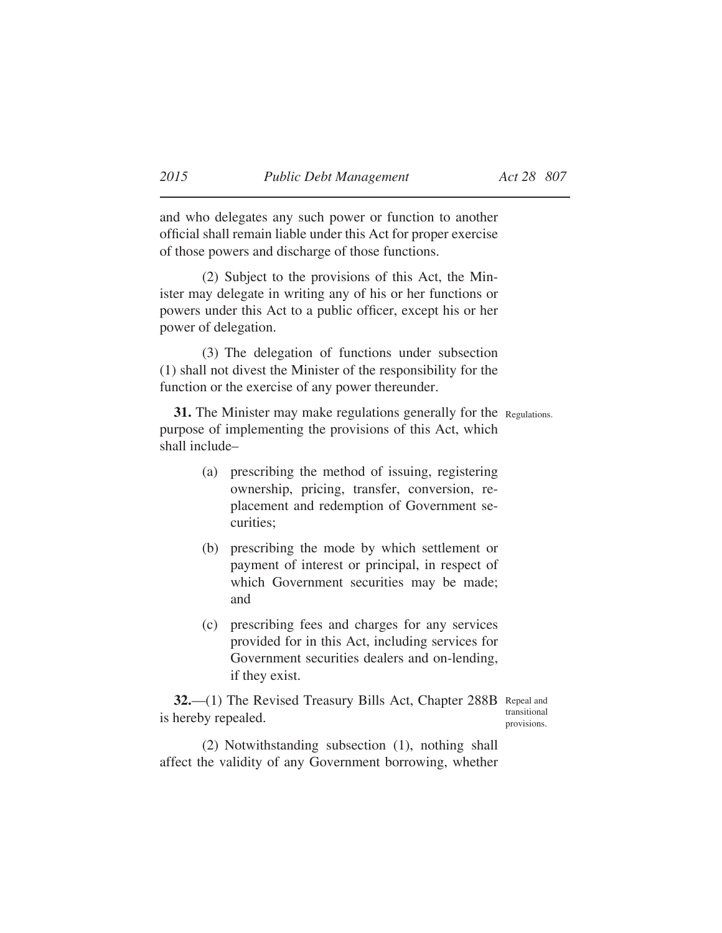and who delegates any such power or function to another official shall remain liable under this Act for proper exercise of those powers and discharge of those functions.

(2) Subject to the provisions of this Act, the Minister may delegate in writing any of his or her functions or powers under this Act to a public officer, except his or her power of delegation.

(3) The delegation of functions under subsection (1) shall not divest the Minister of the responsibility for the function or the exercise of any power thereunder.

**31.** The Minister may make regulations generally for the Regulations. purpose of implementing the provisions of this Act, which shall include–

- (a) prescribing the method of issuing, registering ownership, pricing, transfer, conversion, replacement and redemption of Government securities;
- (b) prescribing the mode by which settlement or payment of interest or principal, in respect of which Government securities may be made; and
- (c) prescribing fees and charges for any services provided for in this Act, including services for Government securities dealers and on-lending, if they exist.

32. (1) The Revised Treasury Bills Act, Chapter 288B Repeal and is hereby repealed.

transitional provisions.

(2) Notwithstanding subsection (1), nothing shall affect the validity of any Government borrowing, whether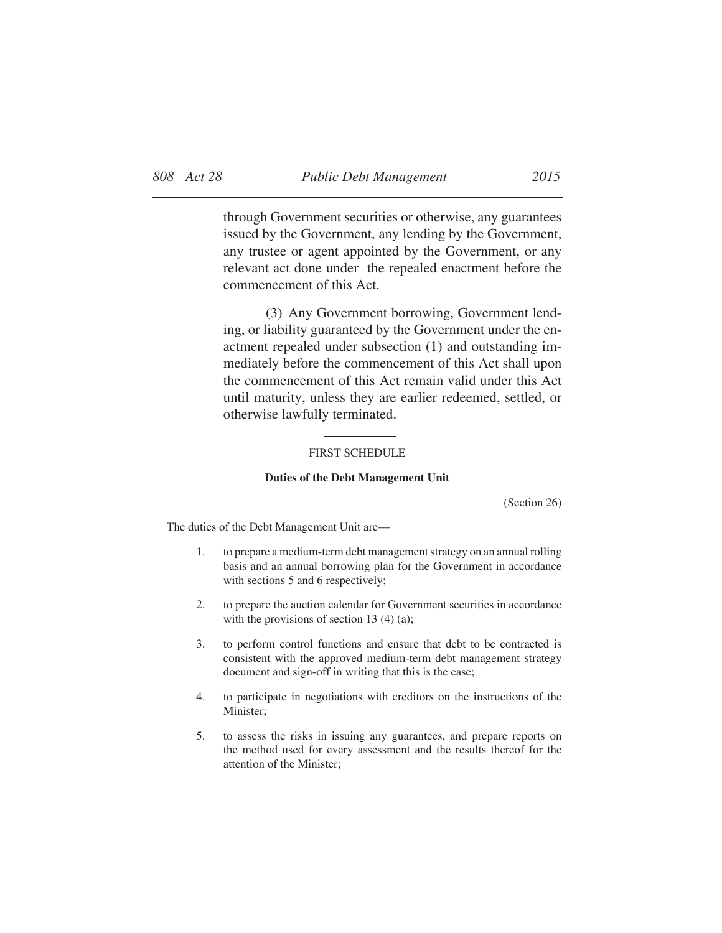through Government securities or otherwise, any guarantees issued by the Government, any lending by the Government, any trustee or agent appointed by the Government, or any relevant act done under the repealed enactment before the commencement of this Act.

(3) Any Government borrowing, Government lending, or liability guaranteed by the Government under the enactment repealed under subsection (1) and outstanding immediately before the commencement of this Act shall upon the commencement of this Act remain valid under this Act until maturity, unless they are earlier redeemed, settled, or otherwise lawfully terminated.

### FIRST SCHEDULE

#### **Duties of the Debt Management Unit**

(Section 26)

The duties of the Debt Management Unit are—

- 1. to prepare a medium-term debt management strategy on an annual rolling basis and an annual borrowing plan for the Government in accordance with sections 5 and 6 respectively;
- 2. to prepare the auction calendar for Government securities in accordance with the provisions of section 13 (4) (a);
- 3. to perform control functions and ensure that debt to be contracted is consistent with the approved medium-term debt management strategy document and sign-off in writing that this is the case;
- 4. to participate in negotiations with creditors on the instructions of the Minister;
- 5. to assess the risks in issuing any guarantees, and prepare reports on the method used for every assessment and the results thereof for the attention of the Minister;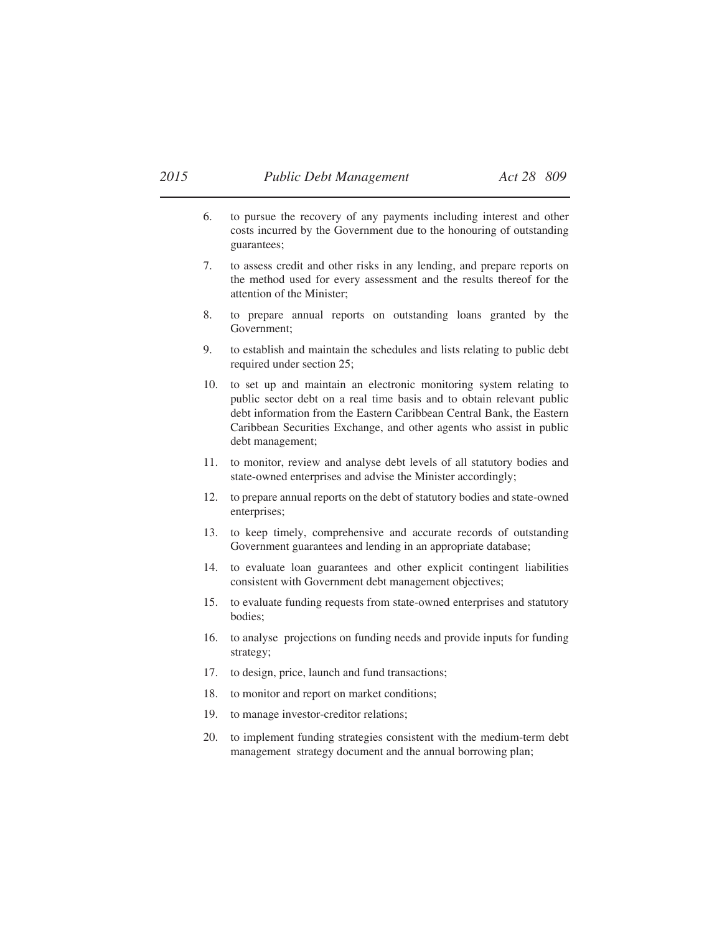- 6. to pursue the recovery of any payments including interest and other costs incurred by the Government due to the honouring of outstanding guarantees;
- 7. to assess credit and other risks in any lending, and prepare reports on the method used for every assessment and the results thereof for the attention of the Minister;
- 8. to prepare annual reports on outstanding loans granted by the Government;
- 9. to establish and maintain the schedules and lists relating to public debt required under section 25;
- 10. to set up and maintain an electronic monitoring system relating to public sector debt on a real time basis and to obtain relevant public debt information from the Eastern Caribbean Central Bank, the Eastern Caribbean Securities Exchange, and other agents who assist in public debt management;
- 11. to monitor, review and analyse debt levels of all statutory bodies and state-owned enterprises and advise the Minister accordingly;
- 12. to prepare annual reports on the debt of statutory bodies and state-owned enterprises;
- 13. to keep timely, comprehensive and accurate records of outstanding Government guarantees and lending in an appropriate database;
- 14. to evaluate loan guarantees and other explicit contingent liabilities consistent with Government debt management objectives;
- 15. to evaluate funding requests from state-owned enterprises and statutory bodies;
- 16. to analyse projections on funding needs and provide inputs for funding strategy;
- 17. to design, price, launch and fund transactions;
- 18. to monitor and report on market conditions;
- 19. to manage investor-creditor relations;
- 20. to implement funding strategies consistent with the medium-term debt management strategy document and the annual borrowing plan;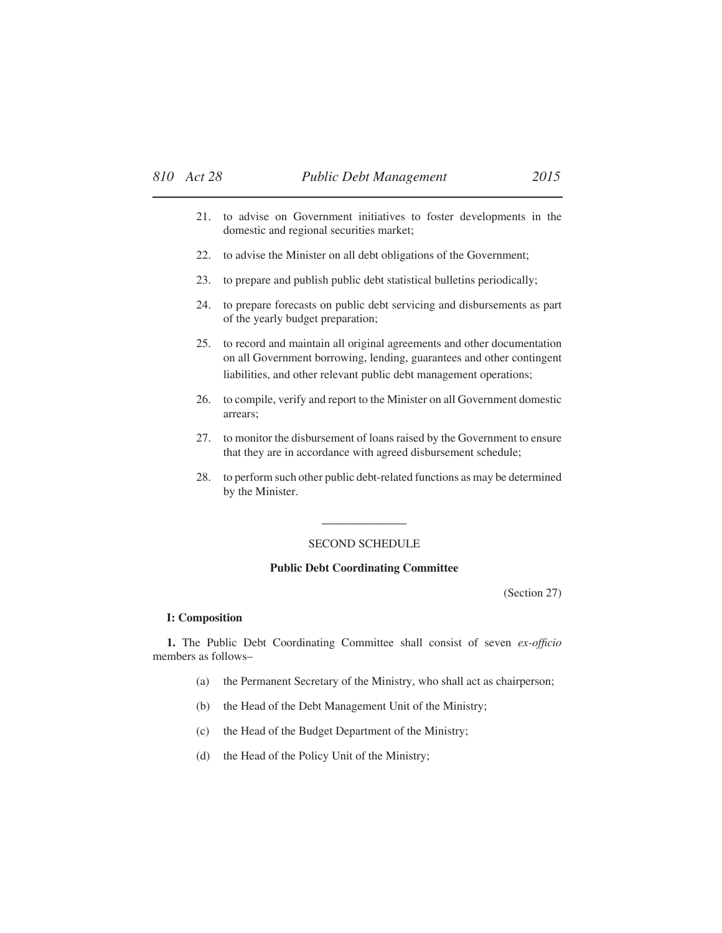- 21. to advise on Government initiatives to foster developments in the domestic and regional securities market;
- 22. to advise the Minister on all debt obligations of the Government;
- 23. to prepare and publish public debt statistical bulletins periodically;
- 24. to prepare forecasts on public debt servicing and disbursements as part of the yearly budget preparation;
- 25. to record and maintain all original agreements and other documentation on all Government borrowing, lending, guarantees and other contingent liabilities, and other relevant public debt management operations;
- 26. to compile, verify and report to the Minister on all Government domestic arrears;
- 27. to monitor the disbursement of loans raised by the Government to ensure that they are in accordance with agreed disbursement schedule;
- 28. to perform such other public debt-related functions as may be determined by the Minister.

#### SECOND SCHEDULE

\_\_\_\_\_\_\_\_\_\_\_\_

#### **Public Debt Coordinating Committee**

(Section 27)

#### **I: Composition**

**1.** The Public Debt Coordinating Committee shall consist of seven *ex-officio* members as follows–

- (a) the Permanent Secretary of the Ministry, who shall act as chairperson;
- (b) the Head of the Debt Management Unit of the Ministry;
- (c) the Head of the Budget Department of the Ministry;
- (d) the Head of the Policy Unit of the Ministry;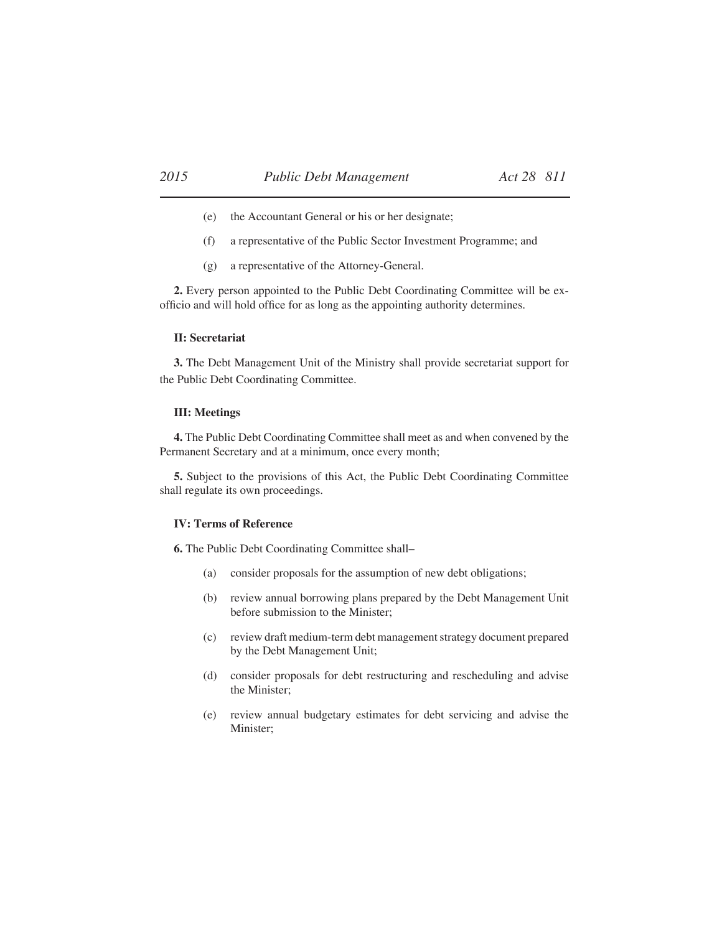- (e) the Accountant General or his or her designate;
- (f) a representative of the Public Sector Investment Programme; and
- (g) a representative of the Attorney-General.

**2.** Every person appointed to the Public Debt Coordinating Committee will be exofficio and will hold office for as long as the appointing authority determines.

#### **II: Secretariat**

**3.** The Debt Management Unit of the Ministry shall provide secretariat support for the Public Debt Coordinating Committee.

#### **III: Meetings**

**4.** The Public Debt Coordinating Committee shall meet as and when convened by the Permanent Secretary and at a minimum, once every month;

**5.** Subject to the provisions of this Act, the Public Debt Coordinating Committee shall regulate its own proceedings.

#### **IV: Terms of Reference**

**6.** The Public Debt Coordinating Committee shall–

- (a) consider proposals for the assumption of new debt obligations;
- (b) review annual borrowing plans prepared by the Debt Management Unit before submission to the Minister;
- (c) review draft medium-term debt management strategy document prepared by the Debt Management Unit;
- (d) consider proposals for debt restructuring and rescheduling and advise the Minister;
- (e) review annual budgetary estimates for debt servicing and advise the Minister;